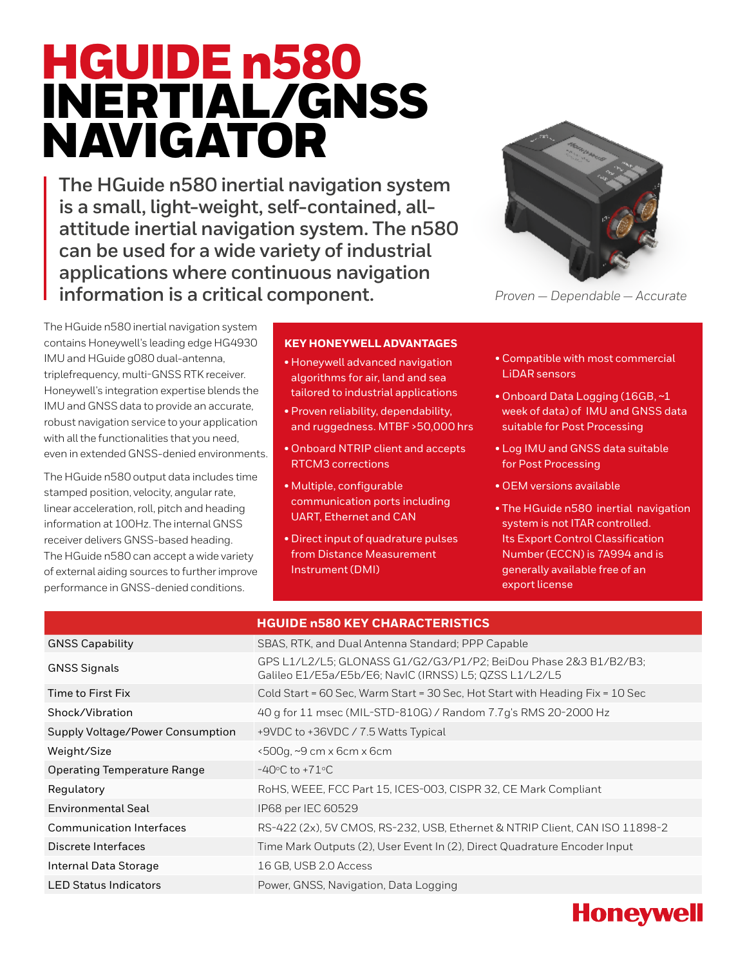# HGUIDE n580 INERTIAL/GNSS NAVIGATOR

**The HGuide n580 inertial navigation system is a small, light-weight, self-contained, allattitude inertial navigation system. The n580 can be used for a wide variety of industrial applications where continuous navigation information is a critical component.**



*Proven — Dependable — Accurate*

The HGuide n580 inertial navigation system contains Honeywell's leading edge HG4930 IMU and HGuide g080 dual-antenna, triplefrequency, multi-GNSS RTK receiver. Honeywell's integration expertise blends the IMU and GNSS data to provide an accurate, robust navigation service to your application with all the functionalities that you need, even in extended GNSS-denied environments.

The HGuide n580 output data includes time stamped position, velocity, angular rate, linear acceleration, roll, pitch and heading information at 100Hz. The internal GNSS receiver delivers GNSS-based heading. The HGuide n580 can accept a wide variety of external aiding sources to further improve performance in GNSS-denied conditions.

### **KEY HONEYWELL ADVANTAGES**

- Honeywell advanced navigation algorithms for air, land and sea tailored to industrial applications
- Proven reliability, dependability, and ruggedness. MTBF >50,000 hrs
- Onboard NTRIP client and accepts RTCM3 corrections
- Multiple, configurable communication ports including UART, Ethernet and CAN
- Direct input of quadrature pulses from Distance Measurement Instrument (DMI)
- Compatible with most commercial LiDAR sensors
- Onboard Data Logging (16GB, ~1 week of data) of IMU and GNSS data suitable for Post Processing
- Log IMU and GNSS data suitable for Post Processing
- OEM versions available
- The HGuide n580 inertial navigation system is not ITAR controlled. Its Export Control Classification Number (ECCN) is 7A994 and is generally available free of an export license

|                                    | <b>HGUIDE n580 KEY CHARACTERISTICS</b>                                                                                     |
|------------------------------------|----------------------------------------------------------------------------------------------------------------------------|
| <b>GNSS Capability</b>             | SBAS, RTK, and Dual Antenna Standard; PPP Capable                                                                          |
| <b>GNSS Signals</b>                | GPS L1/L2/L5; GLONASS G1/G2/G3/P1/P2; BeiDou Phase 2&3 B1/B2/B3;<br>Galileo E1/E5a/E5b/E6; NavIC (IRNSS) L5; QZSS L1/L2/L5 |
| Time to First Fix                  | Cold Start = 60 Sec, Warm Start = 30 Sec, Hot Start with Heading Fix = 10 Sec                                              |
| Shock/Vibration                    | 40 g for 11 msec (MIL-STD-810G) / Random 7.7g's RMS 20-2000 Hz                                                             |
| Supply Voltage/Power Consumption   | +9VDC to +36VDC / 7.5 Watts Typical                                                                                        |
| Weight/Size                        | $\times$ 500g, $\sim$ 9 cm x 6cm x 6cm                                                                                     |
| <b>Operating Temperature Range</b> | $-40^{\circ}$ C to $+71^{\circ}$ C                                                                                         |
| Regulatory                         | RoHS, WEEE, FCC Part 15, ICES-003, CISPR 32, CE Mark Compliant                                                             |
| Environmental Seal                 | IP68 per IEC 60529                                                                                                         |
| <b>Communication Interfaces</b>    | RS-422 (2x), 5V CMOS, RS-232, USB, Ethernet & NTRIP Client, CAN ISO 11898-2                                                |
| Discrete Interfaces                | Time Mark Outputs (2), User Event In (2), Direct Quadrature Encoder Input                                                  |
| Internal Data Storage              | 16 GB, USB 2.0 Access                                                                                                      |
| <b>LED Status Indicators</b>       | Power, GNSS, Navigation, Data Logging                                                                                      |
|                                    |                                                                                                                            |